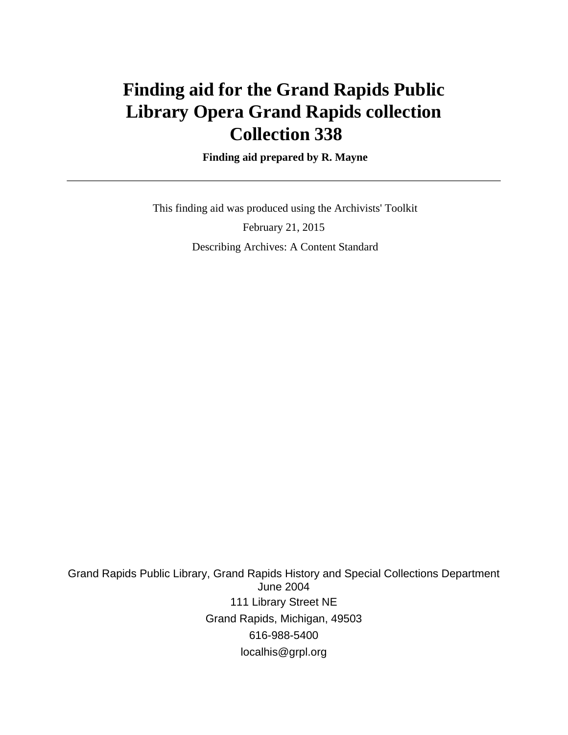# **Finding aid for the Grand Rapids Public Library Opera Grand Rapids collection Collection 338**

#### **Finding aid prepared by R. Mayne**

 This finding aid was produced using the Archivists' Toolkit February 21, 2015 Describing Archives: A Content Standard

Grand Rapids Public Library, Grand Rapids History and Special Collections Department June 2004 111 Library Street NE Grand Rapids, Michigan, 49503 616-988-5400 localhis@grpl.org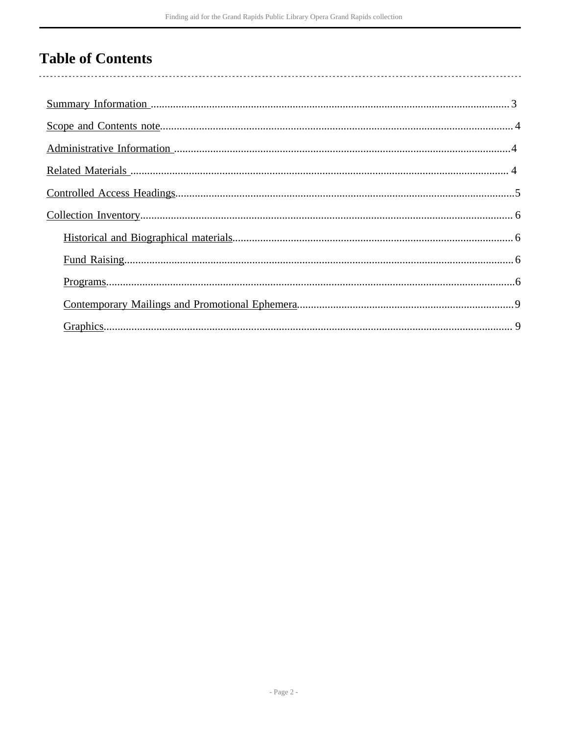# **Table of Contents**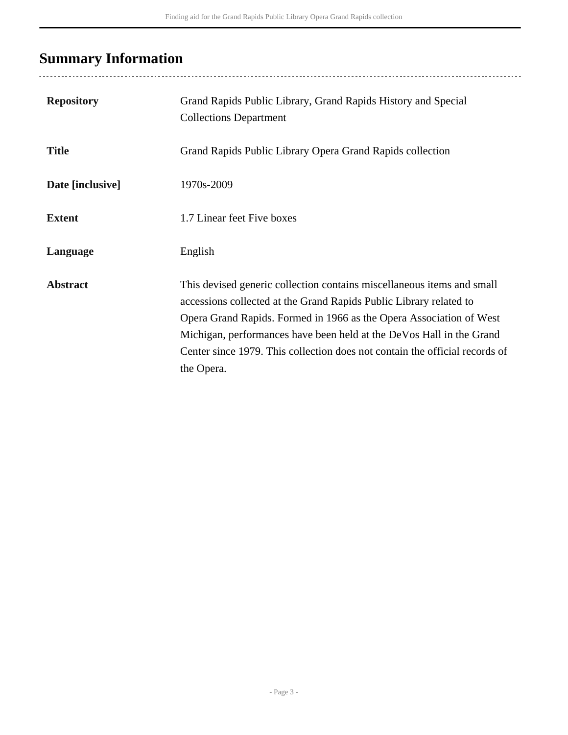# <span id="page-2-0"></span>**Summary Information**

| <b>Repository</b> | Grand Rapids Public Library, Grand Rapids History and Special<br><b>Collections Department</b>                                                                                                                                                                                                                                                                                           |
|-------------------|------------------------------------------------------------------------------------------------------------------------------------------------------------------------------------------------------------------------------------------------------------------------------------------------------------------------------------------------------------------------------------------|
| <b>Title</b>      | Grand Rapids Public Library Opera Grand Rapids collection                                                                                                                                                                                                                                                                                                                                |
| Date [inclusive]  | 1970s-2009                                                                                                                                                                                                                                                                                                                                                                               |
| <b>Extent</b>     | 1.7 Linear feet Five boxes                                                                                                                                                                                                                                                                                                                                                               |
| Language          | English                                                                                                                                                                                                                                                                                                                                                                                  |
| <b>Abstract</b>   | This devised generic collection contains miscellaneous items and small<br>accessions collected at the Grand Rapids Public Library related to<br>Opera Grand Rapids. Formed in 1966 as the Opera Association of West<br>Michigan, performances have been held at the DeVos Hall in the Grand<br>Center since 1979. This collection does not contain the official records of<br>the Opera. |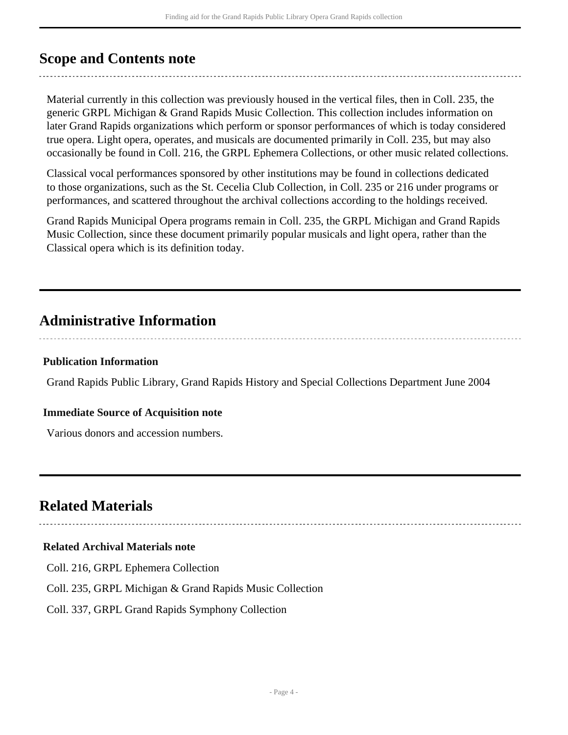## <span id="page-3-0"></span>**Scope and Contents note**

Material currently in this collection was previously housed in the vertical files, then in Coll. 235, the generic GRPL Michigan & Grand Rapids Music Collection. This collection includes information on later Grand Rapids organizations which perform or sponsor performances of which is today considered true opera. Light opera, operates, and musicals are documented primarily in Coll. 235, but may also occasionally be found in Coll. 216, the GRPL Ephemera Collections, or other music related collections.

Classical vocal performances sponsored by other institutions may be found in collections dedicated to those organizations, such as the St. Cecelia Club Collection, in Coll. 235 or 216 under programs or performances, and scattered throughout the archival collections according to the holdings received.

Grand Rapids Municipal Opera programs remain in Coll. 235, the GRPL Michigan and Grand Rapids Music Collection, since these document primarily popular musicals and light opera, rather than the Classical opera which is its definition today.

## <span id="page-3-1"></span>**Administrative Information**

#### **Publication Information**

Grand Rapids Public Library, Grand Rapids History and Special Collections Department June 2004

#### **Immediate Source of Acquisition note**

Various donors and accession numbers.

## <span id="page-3-2"></span>**Related Materials**

### **Related Archival Materials note**

Coll. 216, GRPL Ephemera Collection

Coll. 235, GRPL Michigan & Grand Rapids Music Collection

Coll. 337, GRPL Grand Rapids Symphony Collection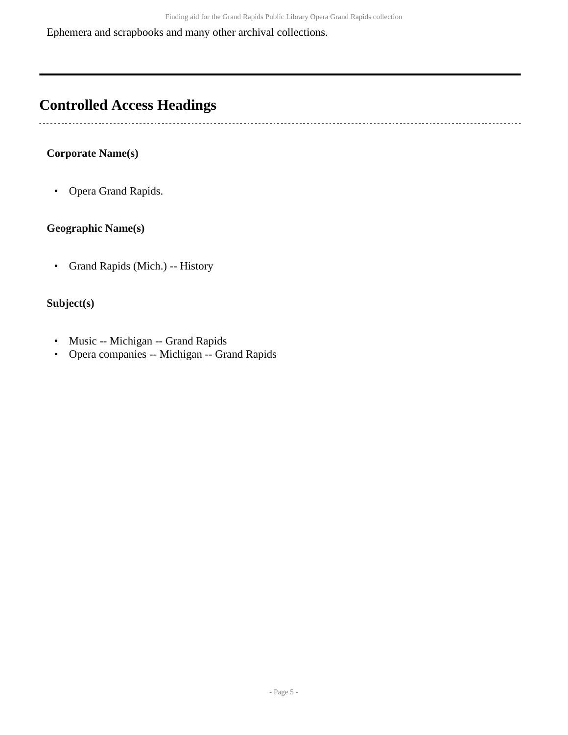Ephemera and scrapbooks and many other archival collections.

## <span id="page-4-0"></span>**Controlled Access Headings**

### **Corporate Name(s)**

 $\mathbf{r}$ 

• Opera Grand Rapids.

#### **Geographic Name(s)**

• Grand Rapids (Mich.) -- History

### **Subject(s)**

- Music -- Michigan -- Grand Rapids
- Opera companies -- Michigan -- Grand Rapids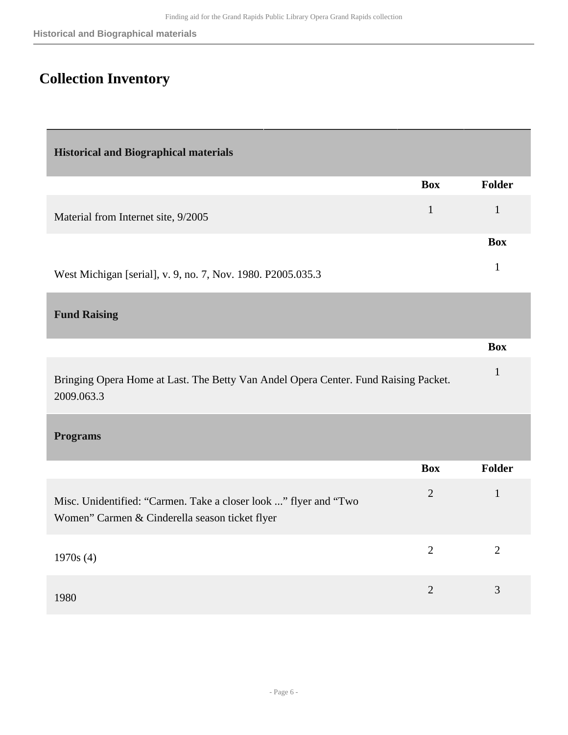# <span id="page-5-0"></span>**Collection Inventory**

<span id="page-5-3"></span><span id="page-5-2"></span><span id="page-5-1"></span>

| <b>Historical and Biographical materials</b>                                                                       |                |                |
|--------------------------------------------------------------------------------------------------------------------|----------------|----------------|
|                                                                                                                    | <b>Box</b>     | Folder         |
| Material from Internet site, 9/2005                                                                                | $\mathbf{1}$   | $\mathbf{1}$   |
|                                                                                                                    |                | <b>Box</b>     |
| West Michigan [serial], v. 9, no. 7, Nov. 1980. P2005.035.3                                                        |                | $\mathbf{1}$   |
| <b>Fund Raising</b>                                                                                                |                |                |
|                                                                                                                    |                | <b>Box</b>     |
| Bringing Opera Home at Last. The Betty Van Andel Opera Center. Fund Raising Packet.<br>2009.063.3                  |                | $\mathbf{1}$   |
| <b>Programs</b>                                                                                                    |                |                |
|                                                                                                                    | <b>Box</b>     | <b>Folder</b>  |
| Misc. Unidentified: "Carmen. Take a closer look " flyer and "Two<br>Women" Carmen & Cinderella season ticket flyer | $\overline{2}$ | $\mathbf{1}$   |
| 1970s(4)                                                                                                           | $\overline{2}$ | $\overline{2}$ |
| 1980                                                                                                               | $\overline{2}$ | 3              |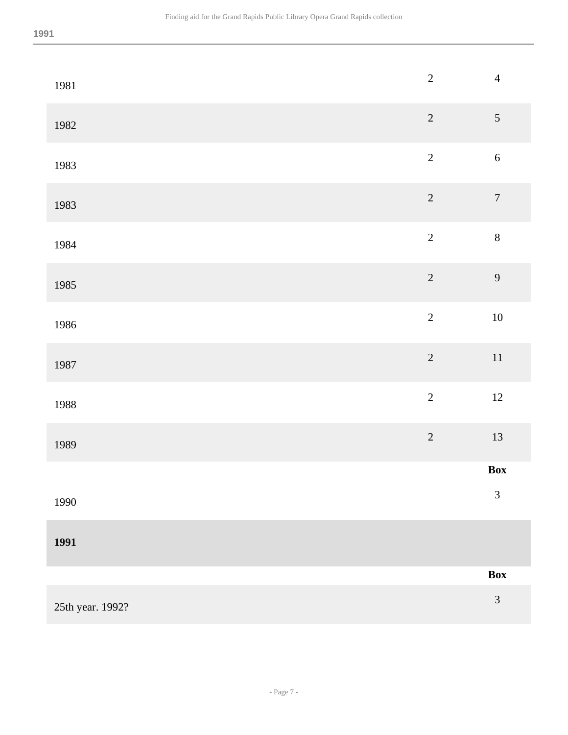| 1981             | $\sqrt{2}$     | $\overline{4}$   |
|------------------|----------------|------------------|
| 1982             | $\overline{c}$ | $\sqrt{5}$       |
| 1983             | $\overline{c}$ | $\sqrt{6}$       |
| 1983             | $\overline{c}$ | $\boldsymbol{7}$ |
| 1984             | $\overline{c}$ | $\,8\,$          |
| 1985             | $\sqrt{2}$     | 9                |
| 1986             | $\overline{c}$ | $10\,$           |
| 1987             | $\overline{c}$ | $11\,$           |
| 1988             | $\overline{c}$ | 12               |
| 1989             | $\overline{c}$ | $13\,$           |
|                  |                | Box              |
| 1990             |                | $\mathfrak{Z}$   |
| 1991             |                |                  |
|                  |                | $\mathbf{Box}$   |
| 25th year. 1992? |                | $\mathfrak{Z}$   |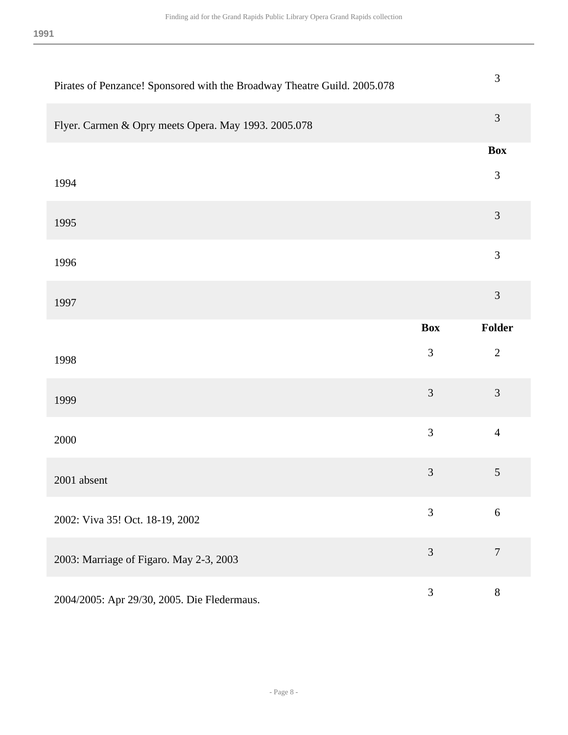| Pirates of Penzance! Sponsored with the Broadway Theatre Guild. 2005.078 |                | 3              |
|--------------------------------------------------------------------------|----------------|----------------|
| Flyer. Carmen & Opry meets Opera. May 1993. 2005.078                     |                | 3              |
|                                                                          |                | <b>Box</b>     |
| 1994                                                                     |                | $\mathfrak{Z}$ |
| 1995                                                                     |                | 3              |
| 1996                                                                     |                | 3              |
| 1997                                                                     |                | 3              |
|                                                                          | <b>Box</b>     | Folder         |
| 1998                                                                     | $\mathfrak{Z}$ | $\overline{2}$ |
| 1999                                                                     | 3              | 3              |
| 2000                                                                     | 3              | $\overline{4}$ |
|                                                                          |                |                |
| 2001 absent                                                              | 3              | $\mathfrak{S}$ |
| 2002: Viva 35! Oct. 18-19, 2002                                          | 3              | 6              |
| 2003: Marriage of Figaro. May 2-3, 2003                                  | 3              | $\overline{7}$ |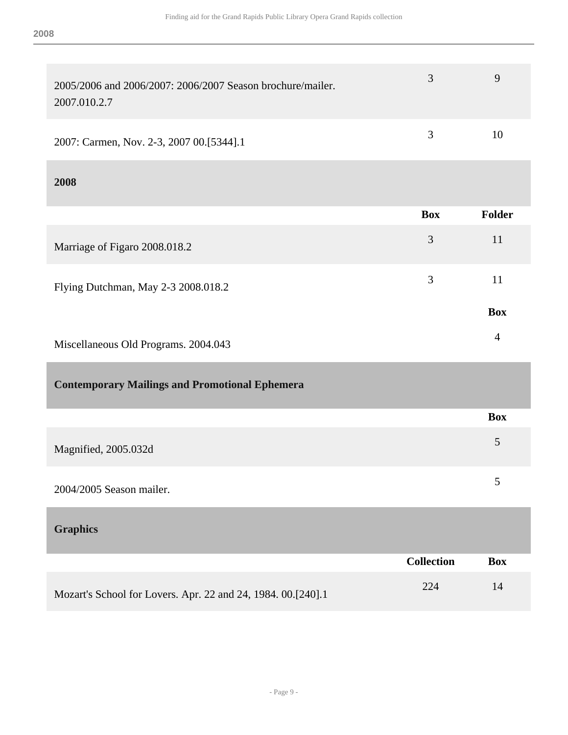<span id="page-8-1"></span><span id="page-8-0"></span>

| 2005/2006 and 2006/2007: 2006/2007 Season brochure/mailer.<br>2007.010.2.7 | 3                 | 9              |
|----------------------------------------------------------------------------|-------------------|----------------|
| 2007: Carmen, Nov. 2-3, 2007 00.[5344].1                                   | 3                 | 10             |
| 2008                                                                       |                   |                |
|                                                                            | <b>Box</b>        | Folder         |
| Marriage of Figaro 2008.018.2                                              | 3                 | 11             |
| Flying Dutchman, May 2-3 2008.018.2                                        | 3                 | 11             |
|                                                                            |                   | <b>Box</b>     |
| Miscellaneous Old Programs. 2004.043                                       |                   | $\overline{4}$ |
| <b>Contemporary Mailings and Promotional Ephemera</b>                      |                   |                |
|                                                                            |                   | <b>Box</b>     |
| Magnified, 2005.032d                                                       |                   | 5              |
| 2004/2005 Season mailer.                                                   |                   | 5              |
| <b>Graphics</b>                                                            |                   |                |
|                                                                            | <b>Collection</b> | <b>Box</b>     |
| Mozart's School for Lovers. Apr. 22 and 24, 1984. 00.[240].1               | 224               | 14             |